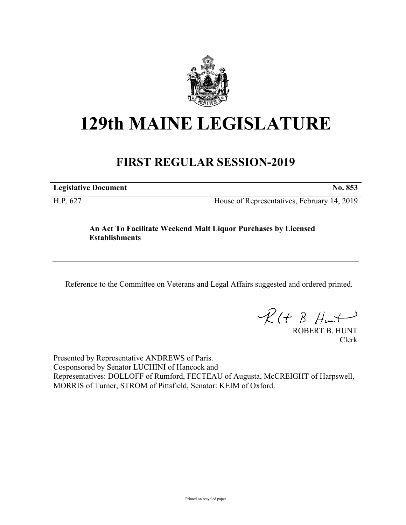

## **129th MAINE LEGISLATURE**

## **FIRST REGULAR SESSION-2019**

**Legislative Document No. 853**

H.P. 627 House of Representatives, February 14, 2019

## **An Act To Facilitate Weekend Malt Liquor Purchases by Licensed Establishments**

Reference to the Committee on Veterans and Legal Affairs suggested and ordered printed.

 $R(t B. Hmt)$ 

ROBERT B. HUNT Clerk

Presented by Representative ANDREWS of Paris. Cosponsored by Senator LUCHINI of Hancock and Representatives: DOLLOFF of Rumford, FECTEAU of Augusta, McCREIGHT of Harpswell, MORRIS of Turner, STROM of Pittsfield, Senator: KEIM of Oxford.